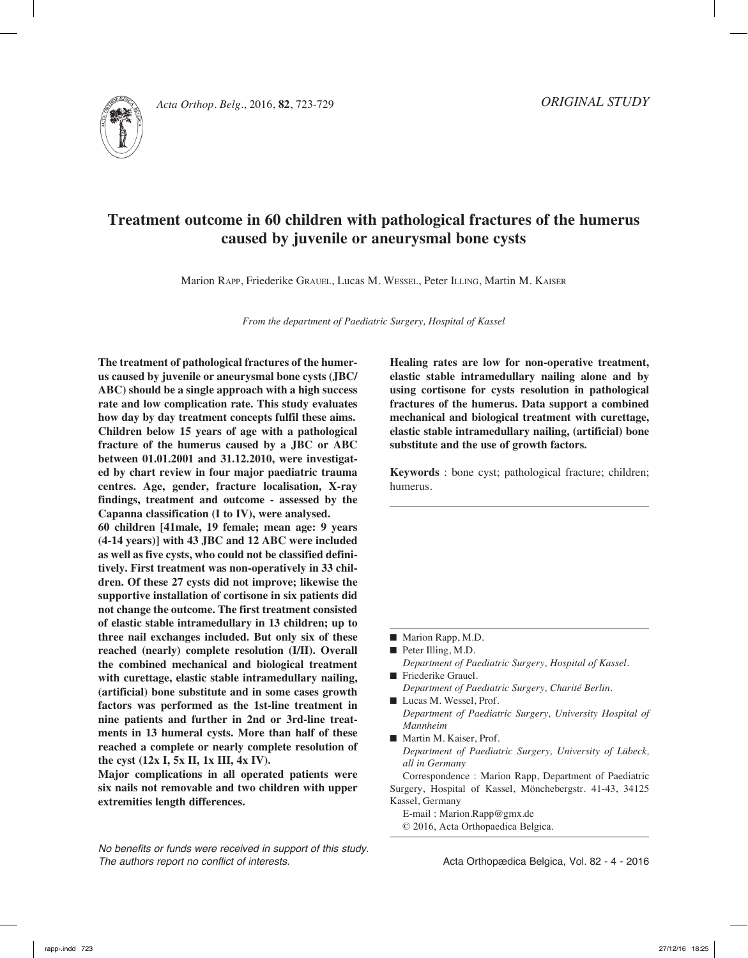

*Acta Orthop. Belg.*, 2016, **82**, 723-729

# **Treatment outcome in 60 children with pathological fractures of the humerus caused by juvenile or aneurysmal bone cysts**

Marion Rapp, Friederike Grauel, Lucas M. Wessel, Peter Illing, Martin M. Kaiser

*From the department of Paediatric Surgery, Hospital of Kassel*

**The treatment of pathological fractures of the humerus caused by juvenile or aneurysmal bone cysts (JBC/ ABC) should be a single approach with a high success rate and low complication rate. This study evaluates how day by day treatment concepts fulfil these aims. Children below 15 years of age with a pathological fracture of the humerus caused by a JBC or ABC between 01.01.2001 and 31.12.2010, were investigated by chart review in four major paediatric trauma centres. Age, gender, fracture localisation, X-ray findings, treatment and outcome - assessed by the Capanna classification (I to IV), were analysed.**

**60 children [41male, 19 female; mean age: 9 years (4-14 years)] with 43 JBC and 12 ABC were included as well as five cysts, who could not be classified definitively. First treatment was non-operatively in 33 children. Of these 27 cysts did not improve; likewise the supportive installation of cortisone in six patients did not change the outcome. The first treatment consisted of elastic stable intramedullary in 13 children; up to three nail exchanges included. But only six of these reached (nearly) complete resolution (I/II). Overall the combined mechanical and biological treatment with curettage, elastic stable intramedullary nailing, (artificial) bone substitute and in some cases growth factors was performed as the 1st-line treatment in nine patients and further in 2nd or 3rd-line treatments in 13 humeral cysts. More than half of these reached a complete or nearly complete resolution of the cyst (12x I, 5x II, 1x III, 4x IV).** 

**Major complications in all operated patients were six nails not removable and two children with upper extremities length differences.**

*No benefits or funds were received in support of this study. The authors report no conflict of interests.* 

**Healing rates are low for non-operative treatment, elastic stable intramedullary nailing alone and by using cortisone for cysts resolution in pathological fractures of the humerus. Data support a combined mechanical and biological treatment with curettage, elastic stable intramedullary nailing, (artificial) bone substitute and the use of growth factors.** 

**Keywords** : bone cyst; pathological fracture; children; humerus.

- *Department of Paediatric Surgery, Hospital of Kassel.* **n** Friederike Grauel.
- *Department of Paediatric Surgery, Charité Berlin.*
- Lucas M. Wessel, Prof. *Department of Paediatric Surgery, University Hospital of Mannheim*
- Martin M. Kaiser, Prof. *Department of Paediatric Surgery, University of Lübeck, all in Germany*

Correspondence : Marion Rapp, Department of Paediatric Surgery, Hospital of Kassel, Mönchebergstr. 41-43, 34125 Kassel, Germany

E-mail : Marion.Rapp@gmx.de

© 2016, Acta Orthopaedica Belgica.

 $\blacksquare$  Marion Rapp, M.D.

 $\blacksquare$  Peter Illing, M.D.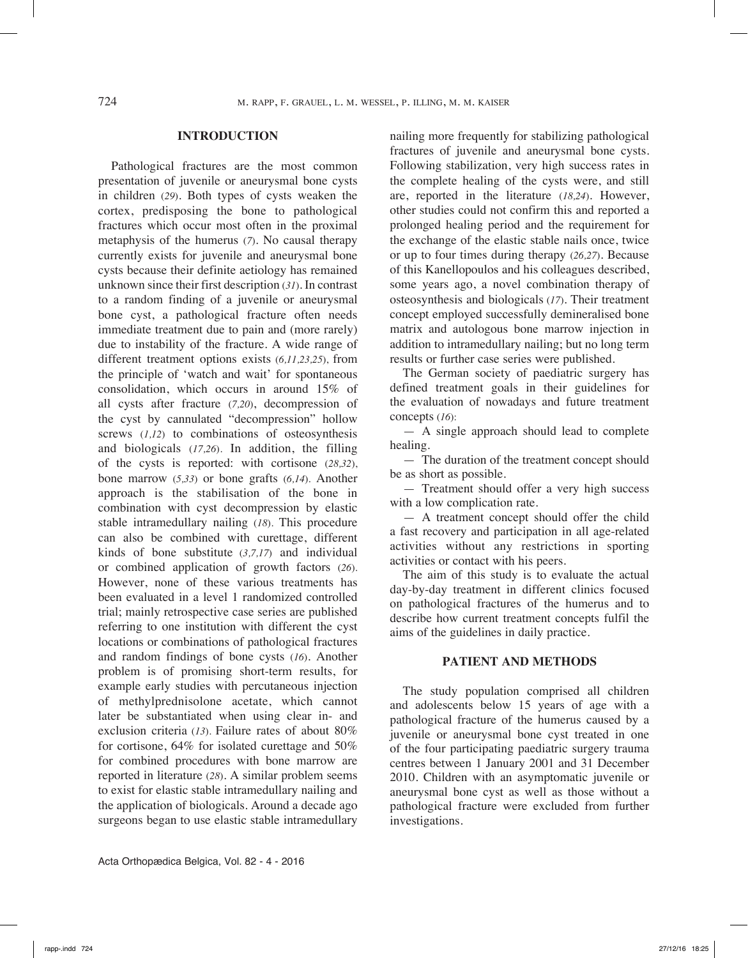### **INTRODUCTION**

Pathological fractures are the most common presentation of juvenile or aneurysmal bone cysts in children (*29*). Both types of cysts weaken the cortex, predisposing the bone to pathological fractures which occur most often in the proximal metaphysis of the humerus (*7*). No causal therapy currently exists for juvenile and aneurysmal bone cysts because their definite aetiology has remained unknown since their first description (*31*). In contrast to a random finding of a juvenile or aneurysmal bone cyst, a pathological fracture often needs immediate treatment due to pain and (more rarely) due to instability of the fracture. A wide range of different treatment options exists (*6,11,23,25*), from the principle of 'watch and wait' for spontaneous consolidation, which occurs in around 15% of all cysts after fracture (*7,20*), decompression of the cyst by cannulated "decompression" hollow screws (*1,12*) to combinations of osteosynthesis and biologicals (*17,26*). In addition, the filling of the cysts is reported: with cortisone (*28,32*), bone marrow (*5,33*) or bone grafts (*6,14*). Another approach is the stabilisation of the bone in combination with cyst decompression by elastic stable intramedullary nailing (*18*). This procedure can also be combined with curettage, different kinds of bone substitute (*3,7,17*) and individual or combined application of growth factors (*26*). However, none of these various treatments has been evaluated in a level 1 randomized controlled trial; mainly retrospective case series are published referring to one institution with different the cyst locations or combinations of pathological fractures and random findings of bone cysts (*16*). Another problem is of promising short-term results, for example early studies with percutaneous injection of methylprednisolone acetate, which cannot later be substantiated when using clear in- and exclusion criteria (*13*). Failure rates of about 80% for cortisone, 64% for isolated curettage and 50% for combined procedures with bone marrow are reported in literature (*28*). A similar problem seems to exist for elastic stable intramedullary nailing and the application of biologicals. Around a decade ago surgeons began to use elastic stable intramedullary

nailing more frequently for stabilizing pathological fractures of juvenile and aneurysmal bone cysts. Following stabilization, very high success rates in the complete healing of the cysts were, and still are, reported in the literature (*18,24*). However, other studies could not confirm this and reported a prolonged healing period and the requirement for the exchange of the elastic stable nails once, twice or up to four times during therapy (*26,27*). Because of this Kanellopoulos and his colleagues described, some years ago, a novel combination therapy of osteosynthesis and biologicals (*17*). Their treatment concept employed successfully demineralised bone matrix and autologous bone marrow injection in addition to intramedullary nailing; but no long term results or further case series were published.

The German society of paediatric surgery has defined treatment goals in their guidelines for the evaluation of nowadays and future treatment concepts (*16*):

— A single approach should lead to complete healing.

— The duration of the treatment concept should be as short as possible.

— Treatment should offer a very high success with a low complication rate.

— A treatment concept should offer the child a fast recovery and participation in all age-related activities without any restrictions in sporting activities or contact with his peers.

The aim of this study is to evaluate the actual day-by-day treatment in different clinics focused on pathological fractures of the humerus and to describe how current treatment concepts fulfil the aims of the guidelines in daily practice.

## **Patient and Methods**

The study population comprised all children and adolescents below 15 years of age with a pathological fracture of the humerus caused by a juvenile or aneurysmal bone cyst treated in one of the four participating paediatric surgery trauma centres between 1 January 2001 and 31 December 2010. Children with an asymptomatic juvenile or aneurysmal bone cyst as well as those without a pathological fracture were excluded from further investigations.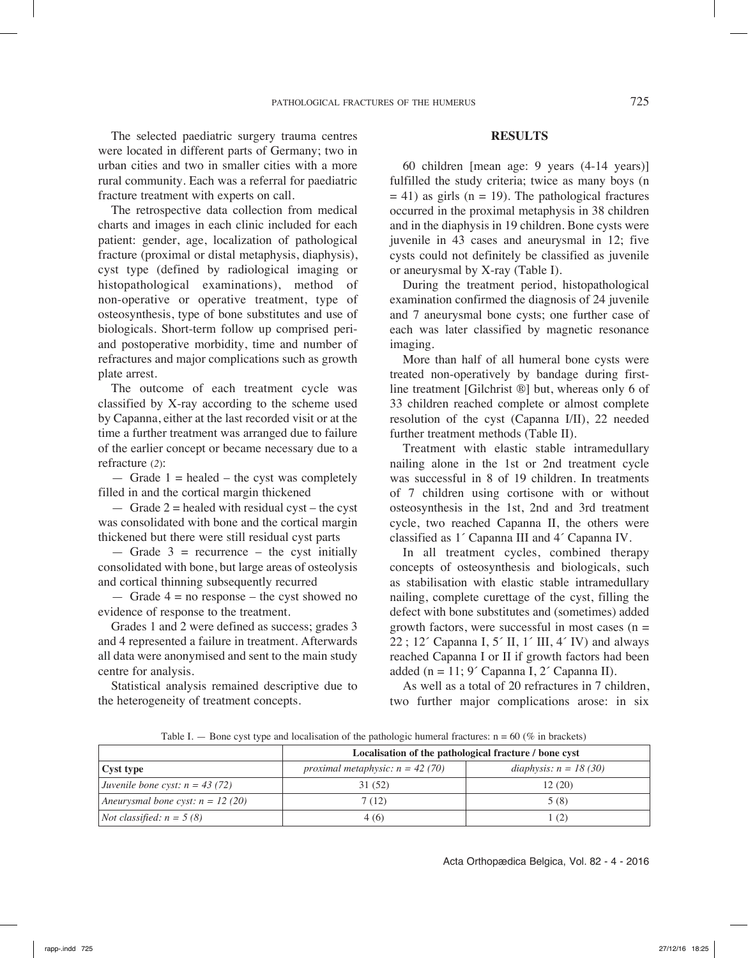The selected paediatric surgery trauma centres were located in different parts of Germany; two in urban cities and two in smaller cities with a more rural community. Each was a referral for paediatric fracture treatment with experts on call.

The retrospective data collection from medical charts and images in each clinic included for each patient: gender, age, localization of pathological fracture (proximal or distal metaphysis, diaphysis), cyst type (defined by radiological imaging or histopathological examinations), method of non-operative or operative treatment, type of osteosynthesis, type of bone substitutes and use of biologicals. Short-term follow up comprised periand postoperative morbidity, time and number of refractures and major complications such as growth plate arrest.

The outcome of each treatment cycle was classified by X-ray according to the scheme used by Capanna, either at the last recorded visit or at the time a further treatment was arranged due to failure of the earlier concept or became necessary due to a refracture (*2*):

 $-$  Grade 1 = healed – the cyst was completely filled in and the cortical margin thickened

 $-$  Grade 2 = healed with residual cyst – the cyst was consolidated with bone and the cortical margin thickened but there were still residual cyst parts

 $-$  Grade 3 = recurrence – the cyst initially consolidated with bone, but large areas of osteolysis and cortical thinning subsequently recurred

— Grade  $4 =$  no response – the cyst showed no evidence of response to the treatment.

Grades 1 and 2 were defined as success; grades 3 and 4 represented a failure in treatment. Afterwards all data were anonymised and sent to the main study centre for analysis.

Statistical analysis remained descriptive due to the heterogeneity of treatment concepts.

### **Results**

60 children [mean age: 9 years (4-14 years)] fulfilled the study criteria; twice as many boys (n  $= 41$ ) as girls (n = 19). The pathological fractures occurred in the proximal metaphysis in 38 children and in the diaphysis in 19 children. Bone cysts were juvenile in 43 cases and aneurysmal in 12; five cysts could not definitely be classified as juvenile or aneurysmal by X-ray (Table I).

During the treatment period, histopathological examination confirmed the diagnosis of 24 juvenile and 7 aneurysmal bone cysts; one further case of each was later classified by magnetic resonance imaging.

More than half of all humeral bone cysts were treated non-operatively by bandage during firstline treatment [Gilchrist ®] but, whereas only 6 of 33 children reached complete or almost complete resolution of the cyst (Capanna I/II), 22 needed further treatment methods (Table II).

Treatment with elastic stable intramedullary nailing alone in the 1st or 2nd treatment cycle was successful in 8 of 19 children. In treatments of 7 children using cortisone with or without osteosynthesis in the 1st, 2nd and 3rd treatment cycle, two reached Capanna II, the others were classified as 1´ Capanna III and 4´ Capanna IV.

In all treatment cycles, combined therapy concepts of osteosynthesis and biologicals, such as stabilisation with elastic stable intramedullary nailing, complete curettage of the cyst, filling the defect with bone substitutes and (sometimes) added growth factors, were successful in most cases  $(n =$ 22 ; 12<sup> $\cdot$ </sup> Capanna I, 5 $\cdot$  II, 1 $\cdot$  III, 4 $\cdot$  IV) and always reached Capanna I or II if growth factors had been added (n = 11;  $9'$  Capanna I,  $2'$  Capanna II).

As well as a total of 20 refractures in 7 children, two further major complications arose: in six

Table I. — Bone cyst type and localisation of the pathologic humeral fractures:  $n = 60$  (% in brackets)

|                                     | Localisation of the pathological fracture / bone cyst |                         |  |  |  |  |  |
|-------------------------------------|-------------------------------------------------------|-------------------------|--|--|--|--|--|
| Cyst type                           | proximal metaphysic: $n = 42(70)$                     | diaphysis: $n = 18(30)$ |  |  |  |  |  |
| Juvenile bone cyst: $n = 43$ (72)   | 31 (52)                                               | 12 (20)                 |  |  |  |  |  |
| Aneurysmal bone cyst: $n = 12$ (20) | 7 (12)                                                | 5(8)                    |  |  |  |  |  |
| <i>Not classified:</i> $n = 5(8)$   | 4(6)                                                  |                         |  |  |  |  |  |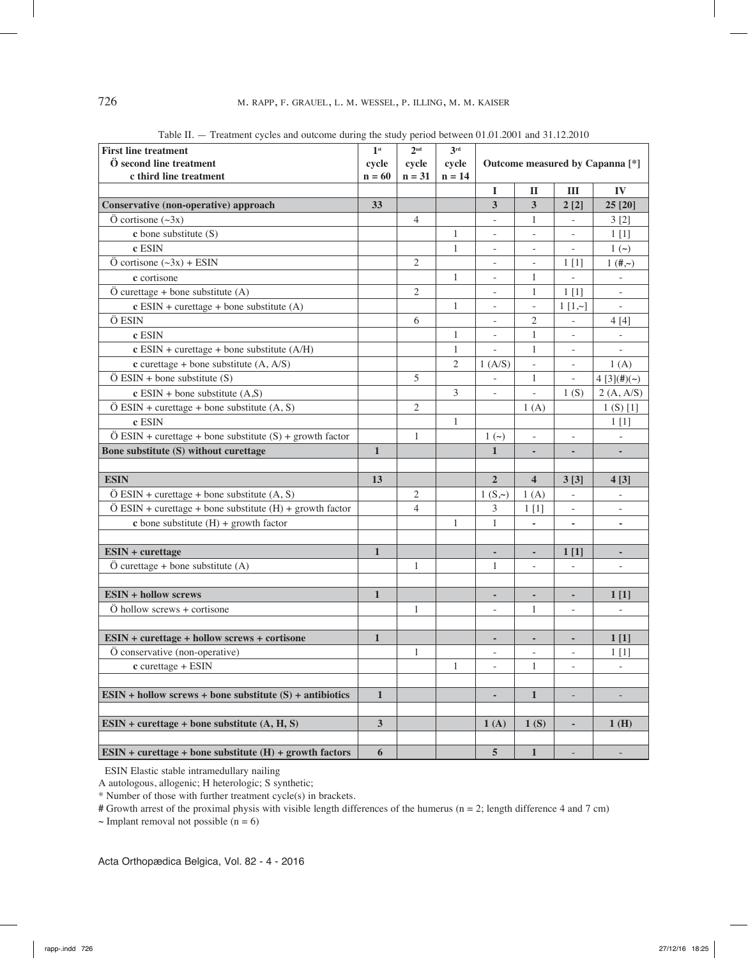| <b>First line treatment</b>                                                     |                  | 2 <sup>nd</sup> | 3 <sup>rd</sup> |                                            |                          |                          |                          |
|---------------------------------------------------------------------------------|------------------|-----------------|-----------------|--------------------------------------------|--------------------------|--------------------------|--------------------------|
| Ö second line treatment                                                         |                  | cycle           | cycle           | Outcome measured by Capanna <sup>[*]</sup> |                          |                          |                          |
| c third line treatment                                                          |                  | $n = 31$        | $n = 14$        |                                            |                          |                          |                          |
|                                                                                 |                  |                 |                 | 1                                          | $\mathbf I$              | Ш                        | IV                       |
| Conservative (non-operative) approach                                           | 33               |                 |                 | $\overline{\mathbf{3}}$                    | 3                        | 2[2]                     | 25 [20]                  |
| $\ddot{O}$ cortisone $(\sim 3x)$                                                |                  | 4               |                 |                                            | 1                        |                          | 3[2]                     |
| $c$ bone substitute $(S)$                                                       |                  |                 | $\mathbf{1}$    |                                            | ÷,                       |                          | 1[1]                     |
| c ESIN                                                                          |                  |                 | $\mathbf{1}$    | $\overline{\phantom{0}}$                   | $\overline{\phantom{0}}$ |                          | $1(\sim)$                |
| $\ddot{O}$ cortisone $(\sim 3x)$ + ESIN                                         |                  | $\overline{2}$  |                 | ÷,                                         | ÷,                       | 1 <sub>[1]</sub>         | $1 (+, )$                |
| c cortisone                                                                     |                  |                 | $\mathbf{1}$    | $\overline{\phantom{0}}$                   | 1                        | $\overline{\phantom{a}}$ |                          |
| $\ddot{O}$ curettage + bone substitute (A)                                      |                  | $\overline{2}$  |                 |                                            | $\mathbf{1}$             | 1 <sub>[1]</sub>         | $\overline{\phantom{a}}$ |
| $c$ ESIN + curettage + bone substitute (A)                                      |                  |                 | $\mathbf{1}$    |                                            | $\frac{1}{2}$            | 1 [1, 0]                 |                          |
| Ö ESIN                                                                          |                  | 6               |                 |                                            | $\mathfrak{2}$           | $\frac{1}{2}$            | 4[4]                     |
| c ESIN                                                                          |                  |                 | $\mathbf{1}$    |                                            | $\mathbf{1}$             | $\overline{\phantom{a}}$ |                          |
| $c$ ESIN + curettage + bone substitute (A/H)                                    |                  |                 | $\mathbf{1}$    |                                            | $\mathbf{1}$             | $\bar{a}$                |                          |
| $c$ curettage + bone substitute (A, A/S)                                        |                  |                 | $\mathfrak{2}$  | 1(A/S)                                     | $\overline{a}$           |                          | 1(A)                     |
| $\ddot{\text{O}}$ ESIN + bone substitute (S)                                    |                  | 5               |                 |                                            | $\mathbf{1}$             |                          | 4[3](#)(~)               |
| $c$ ESIN + bone substitute $(A, S)$                                             |                  |                 | 3               | $\overline{\phantom{0}}$                   | $\overline{\phantom{a}}$ | 1(S)                     | 2(A, A/S)                |
| $\ddot{\text{O}}$ ESIN + curettage + bone substitute (A, S)                     |                  | $\mathbf{2}$    |                 |                                            | 1(A)                     |                          | 1(S) [1]                 |
| c ESIN                                                                          |                  |                 | 1               |                                            |                          |                          | 1 <sub>[1]</sub>         |
| $\ddot{O}$ ESIN + curettage + bone substitute (S) + growth factor               |                  | $\mathbf{1}$    |                 | $1(\sim)$                                  | $\frac{1}{2}$            | $\bar{a}$                |                          |
| Bone substitute (S) without curettage                                           |                  |                 |                 | $\mathbf{1}$                               | ٠                        | ٠                        |                          |
|                                                                                 |                  |                 |                 |                                            |                          |                          |                          |
| <b>ESIN</b>                                                                     | 13               |                 |                 | $\overline{2}$                             | $\overline{\mathbf{4}}$  | 3[3]                     | 4[3]                     |
| $\ddot{\text{O}}$ ESIN + curettage + bone substitute (A, S)                     |                  | $\overline{2}$  |                 | $1(S, \sim)$                               | 1(A)                     |                          |                          |
| $\ddot{O}$ ESIN + curettage + bone substitute (H) + growth factor               |                  | $\overline{4}$  |                 | 3                                          | 1 <sub>[1]</sub>         | $\overline{\phantom{a}}$ | $\overline{\phantom{a}}$ |
| <b>c</b> bone substitute $(H)$ + growth factor                                  |                  |                 | 1               | 1                                          | ÷                        | ۰                        | ٠                        |
|                                                                                 |                  |                 |                 |                                            |                          |                          |                          |
| <b>ESIN + curettage</b>                                                         | $\mathbf{1}$     |                 |                 | ÷,                                         | ä,                       | 1 <sub>[1]</sub>         | ٠                        |
| $\ddot{O}$ curettage + bone substitute (A)                                      |                  | $\mathbf{1}$    |                 | 1                                          | ÷,                       | Ĭ.                       | ÷,                       |
|                                                                                 |                  |                 |                 |                                            |                          |                          |                          |
| <b>ESIN + hollow screws</b>                                                     | $\mathbf{1}$     |                 |                 |                                            | ٠                        |                          | 1 <sub>[1]</sub>         |
| $\ddot{\text{O}}$ hollow screws + cortisone                                     |                  | $\mathbf{1}$    |                 |                                            | $\mathbf{1}$             | $\overline{\phantom{a}}$ |                          |
|                                                                                 |                  |                 |                 |                                            |                          |                          |                          |
| ESIN + curettage + hollow screws + cortisone                                    | $\mathbf{1}$     |                 |                 |                                            | ÷                        |                          | 1 <sub>[1]</sub>         |
| Ö conservative (non-operative)                                                  |                  | $\mathbf{1}$    |                 |                                            | $\overline{\phantom{m}}$ |                          | 1[1]                     |
| $c$ curettage + ESIN                                                            |                  |                 | 1               | L,                                         | 1                        | $\bar{a}$                |                          |
|                                                                                 |                  |                 |                 |                                            |                          |                          |                          |
| $ESIN + hollow$ screws + bone substitute $(S) +$ antibiotics                    | $\mathbf{1}$     |                 |                 | ۰                                          | $\mathbf{1}$             | $\overline{\phantom{a}}$ |                          |
|                                                                                 |                  |                 |                 |                                            |                          |                          |                          |
| $ESIN + \text{correctage} + \text{bone substitute } (A, H, S)$                  | $\mathbf{3}$     |                 |                 | 1(A)                                       | 1(S)                     | ÷,                       | 1(H)                     |
|                                                                                 |                  |                 |                 |                                            |                          |                          |                          |
| $ESIN + \text{correctage} + \text{bone substitute (H)} + \text{growth factors}$ | $\boldsymbol{6}$ |                 |                 | $5\overline{)}$                            | $\mathbf 1$              | $\overline{\phantom{a}}$ |                          |

Table II. — Treatment cycles and outcome during the study period between 01.01.2001 and 31.12.2010

ESIN Elastic stable intramedullary nailing

A autologous, allogenic; H heterologic; S synthetic;

\* Number of those with further treatment cycle(s) in brackets.

**#** Growth arrest of the proximal physis with visible length differences of the humerus (n = 2; length difference 4 and 7 cm)

**~** Implant removal not possible (n = 6)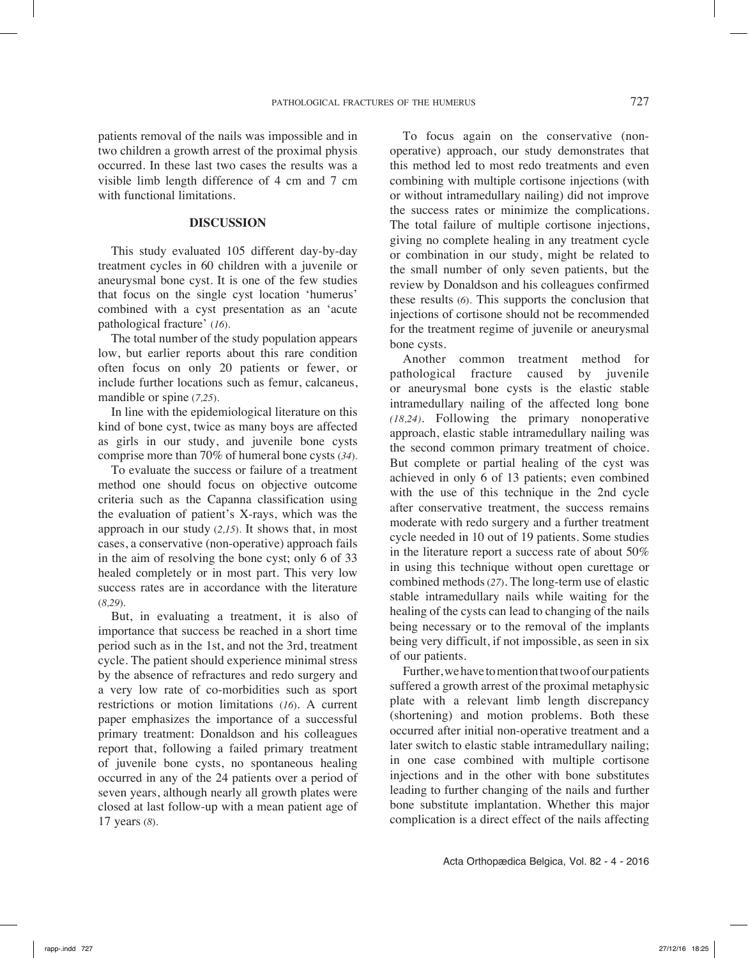patients removal of the nails was impossible and in two children a growth arrest of the proximal physis occurred. In these last two cases the results was a visible limb length difference of 4 cm and 7 cm with functional limitations.

#### **Discussion**

This study evaluated 105 different day-by-day treatment cycles in 60 children with a juvenile or aneurysmal bone cyst. It is one of the few studies that focus on the single cyst location 'humerus' combined with a cyst presentation as an 'acute pathological fracture' (*16*).

The total number of the study population appears low, but earlier reports about this rare condition often focus on only 20 patients or fewer, or include further locations such as femur, calcaneus, mandible or spine (*7,25*).

In line with the epidemiological literature on this kind of bone cyst, twice as many boys are affected as girls in our study, and juvenile bone cysts comprise more than 70% of humeral bone cysts (*34*).

To evaluate the success or failure of a treatment method one should focus on objective outcome criteria such as the Capanna classification using the evaluation of patient's X-rays, which was the approach in our study (*2,15*). It shows that, in most cases, a conservative (non-operative) approach fails in the aim of resolving the bone cyst; only 6 of 33 healed completely or in most part. This very low success rates are in accordance with the literature (*8,29*).

But, in evaluating a treatment, it is also of importance that success be reached in a short time period such as in the 1st, and not the 3rd, treatment cycle. The patient should experience minimal stress by the absence of refractures and redo surgery and a very low rate of co-morbidities such as sport restrictions or motion limitations (*16*). A current paper emphasizes the importance of a successful primary treatment: Donaldson and his colleagues report that, following a failed primary treatment of juvenile bone cysts, no spontaneous healing occurred in any of the 24 patients over a period of seven years, although nearly all growth plates were closed at last follow-up with a mean patient age of 17 years (*8*).

To focus again on the conservative (nonoperative) approach, our study demonstrates that this method led to most redo treatments and even combining with multiple cortisone injections (with or without intramedullary nailing) did not improve the success rates or minimize the complications. The total failure of multiple cortisone injections, giving no complete healing in any treatment cycle or combination in our study, might be related to the small number of only seven patients, but the review by Donaldson and his colleagues confirmed these results (*6*). This supports the conclusion that injections of cortisone should not be recommended for the treatment regime of juvenile or aneurysmal bone cysts.

Another common treatment method for pathological fracture caused by juvenile or aneurysmal bone cysts is the elastic stable intramedullary nailing of the affected long bone *(18,24)*. Following the primary nonoperative approach, elastic stable intramedullary nailing was the second common primary treatment of choice. But complete or partial healing of the cyst was achieved in only 6 of 13 patients; even combined with the use of this technique in the 2nd cycle after conservative treatment, the success remains moderate with redo surgery and a further treatment cycle needed in 10 out of 19 patients. Some studies in the literature report a success rate of about 50% in using this technique without open curettage or combined methods (*27*). The long-term use of elastic stable intramedullary nails while waiting for the healing of the cysts can lead to changing of the nails being necessary or to the removal of the implants being very difficult, if not impossible, as seen in six of our patients.

Further, we have to mention that two of our patients suffered a growth arrest of the proximal metaphysic plate with a relevant limb length discrepancy (shortening) and motion problems. Both these occurred after initial non-operative treatment and a later switch to elastic stable intramedullary nailing; in one case combined with multiple cortisone injections and in the other with bone substitutes leading to further changing of the nails and further bone substitute implantation. Whether this major complication is a direct effect of the nails affecting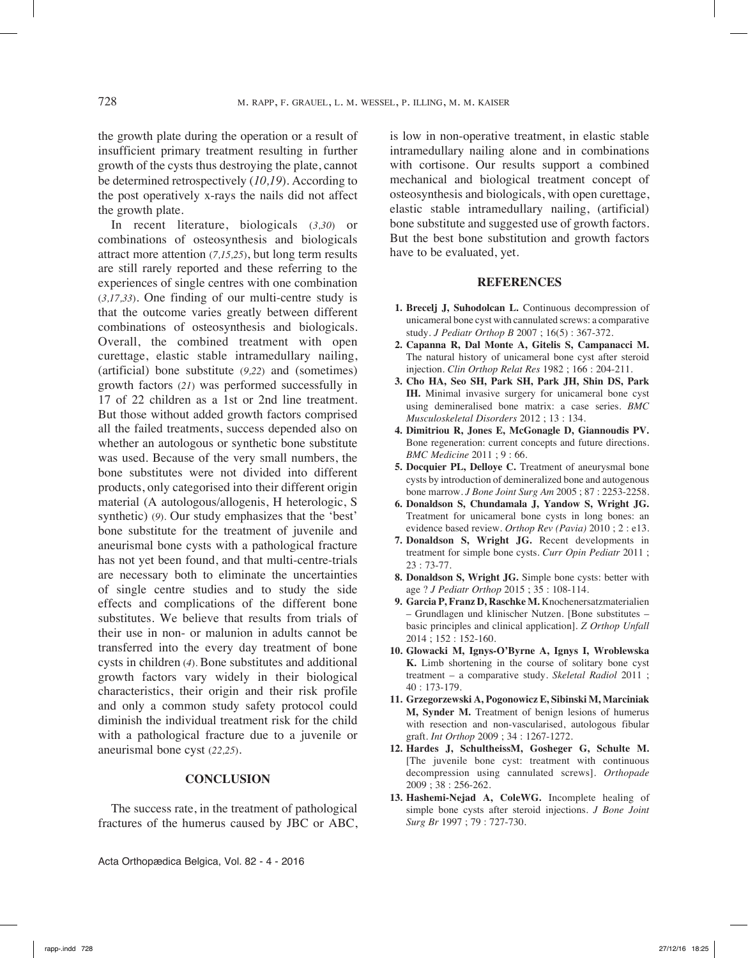the growth plate during the operation or a result of insufficient primary treatment resulting in further growth of the cysts thus destroying the plate, cannot be determined retrospectively (*10,19*). According to the post operatively x-rays the nails did not affect the growth plate.

In recent literature, biologicals (*3,30*) or combinations of osteosynthesis and biologicals attract more attention (*7,15,25*), but long term results are still rarely reported and these referring to the experiences of single centres with one combination (*3,17,33*). One finding of our multi-centre study is that the outcome varies greatly between different combinations of osteosynthesis and biologicals. Overall, the combined treatment with open curettage, elastic stable intramedullary nailing, (artificial) bone substitute (*9,22*) and (sometimes) growth factors (*21*) was performed successfully in 17 of 22 children as a 1st or 2nd line treatment. But those without added growth factors comprised all the failed treatments, success depended also on whether an autologous or synthetic bone substitute was used. Because of the very small numbers, the bone substitutes were not divided into different products, only categorised into their different origin material (A autologous/allogenis, H heterologic, S synthetic) (*9*). Our study emphasizes that the 'best' bone substitute for the treatment of juvenile and aneurismal bone cysts with a pathological fracture has not yet been found, and that multi-centre-trials are necessary both to eliminate the uncertainties of single centre studies and to study the side effects and complications of the different bone substitutes. We believe that results from trials of their use in non- or malunion in adults cannot be transferred into the every day treatment of bone cysts in children (*4*). Bone substitutes and additional growth factors vary widely in their biological characteristics, their origin and their risk profile and only a common study safety protocol could diminish the individual treatment risk for the child with a pathological fracture due to a juvenile or aneurismal bone cyst (*22,25*).

### **CONCLUSION**

The success rate, in the treatment of pathological fractures of the humerus caused by JBC or ABC,

Acta Orthopædica Belgica, Vol. 82 - 4 - 2016

is low in non-operative treatment, in elastic stable intramedullary nailing alone and in combinations with cortisone. Our results support a combined mechanical and biological treatment concept of osteosynthesis and biologicals, with open curettage, elastic stable intramedullary nailing, (artificial) bone substitute and suggested use of growth factors. But the best bone substitution and growth factors have to be evaluated, yet.

#### **REFERENCES**

- **1. Brecelj J, Suhodolcan L.** Continuous decompression of unicameral bone cyst with cannulated screws: a comparative study. *J Pediatr Orthop B* 2007 ; 16(5) : 367-372.
- **2. Capanna R, Dal Monte A, Gitelis S, Campanacci M.**  The natural history of unicameral bone cyst after steroid injection. *Clin Orthop Relat Res* 1982 ; 166 : 204-211.
- **3. Cho HA, Seo SH, Park SH, Park JH, Shin DS, Park IH.** Minimal invasive surgery for unicameral bone cyst using demineralised bone matrix: a case series. *BMC Musculoskeletal Disorders* 2012 ; 13 : 134.
- **4. Dimitriou R, Jones E, McGonagle D, Giannoudis PV.** Bone regeneration: current concepts and future directions. *BMC Medicine* 2011 ; 9 : 66.
- **5. Docquier PL, Delloye C.** Treatment of aneurysmal bone cysts by introduction of demineralized bone and autogenous bone marrow. *J Bone Joint Surg Am* 2005 ; 87 : 2253-2258.
- **6. Donaldson S, Chundamala J, Yandow S, Wright JG.**  Treatment for unicameral bone cysts in long bones: an evidence based review. *Orthop Rev (Pavia)* 2010 ; 2 : e13.
- **7. Donaldson S, Wright JG.** Recent developments in treatment for simple bone cysts. *Curr Opin Pediatr* 2011 ; 23 : 73-77.
- **8. Donaldson S, Wright JG.** Simple bone cysts: better with age ? *J Pediatr Orthop* 2015 ; 35 : 108-114.
- **9. Garcia P, Franz D, Raschke M.** Knochenersatzmaterialien – Grundlagen und klinischer Nutzen. [Bone substitutes – basic principles and clinical application]. *Z Orthop Unfall*  2014 ; 152 : 152-160.
- **10. Glowacki M, Ignys-O'Byrne A, Ignys I, Wroblewska K.** Limb shortening in the course of solitary bone cyst treatment – a comparative study. *Skeletal Radiol* 2011 ;  $40 \cdot 173 - 179$
- **11. Grzegorzewski A, Pogonowicz E, Sibinski M, Marciniak M, Synder M.** Treatment of benign lesions of humerus with resection and non-vascularised, autologous fibular graft. *Int Orthop* 2009 ; 34 : 1267-1272.
- **12. Hardes J, SchultheissM, Gosheger G, Schulte M.**  [The juvenile bone cyst: treatment with continuous decompression using cannulated screws]. *Orthopade* 2009 ; 38 : 256-262.
- **13. Hashemi-Nejad A, ColeWG.** Incomplete healing of simple bone cysts after steroid injections. *J Bone Joint Surg Br* 1997 ; 79 : 727-730.